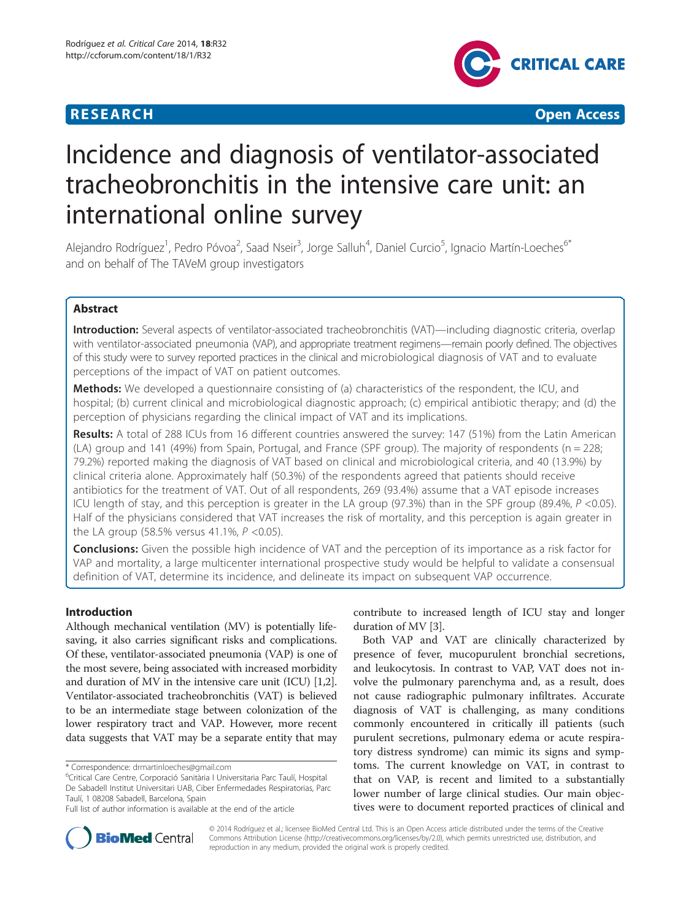

**RESEARCH CHEAR CHEAR CHEAR CHEAR CHEAR CHEAR CHEAR CHEAR CHEAR CHEAR CHEAR CHEAR CHEAR CHEAR CHEAR CHEAR CHEAR** 

# Incidence and diagnosis of ventilator-associated tracheobronchitis in the intensive care unit: an international online survey

Alejandro Rodríguez<sup>1</sup>, Pedro Póvoa<sup>2</sup>, Saad Nseir<sup>3</sup>, Jorge Salluh<sup>4</sup>, Daniel Curcio<sup>5</sup>, Ignacio Martín-Loeches<sup>6\*</sup> and on behalf of The TAVeM group investigators

# Abstract

Introduction: Several aspects of ventilator-associated tracheobronchitis (VAT)—including diagnostic criteria, overlap with ventilator-associated pneumonia (VAP), and appropriate treatment regimens—remain poorly defined. The objectives of this study were to survey reported practices in the clinical and microbiological diagnosis of VAT and to evaluate perceptions of the impact of VAT on patient outcomes.

**Methods:** We developed a questionnaire consisting of (a) characteristics of the respondent, the ICU, and hospital; (b) current clinical and microbiological diagnostic approach; (c) empirical antibiotic therapy; and (d) the perception of physicians regarding the clinical impact of VAT and its implications.

Results: A total of 288 ICUs from 16 different countries answered the survey: 147 (51%) from the Latin American (LA) group and 141 (49%) from Spain, Portugal, and France (SPF group). The majority of respondents (n = 228; 79.2%) reported making the diagnosis of VAT based on clinical and microbiological criteria, and 40 (13.9%) by clinical criteria alone. Approximately half (50.3%) of the respondents agreed that patients should receive antibiotics for the treatment of VAT. Out of all respondents, 269 (93.4%) assume that a VAT episode increases ICU length of stay, and this perception is greater in the LA group (97.3%) than in the SPF group (89.4%, P <0.05). Half of the physicians considered that VAT increases the risk of mortality, and this perception is again greater in the LA group (58.5% versus 41.1%, P <0.05).

**Conclusions:** Given the possible high incidence of VAT and the perception of its importance as a risk factor for VAP and mortality, a large multicenter international prospective study would be helpful to validate a consensual definition of VAT, determine its incidence, and delineate its impact on subsequent VAP occurrence.

# Introduction

Although mechanical ventilation (MV) is potentially lifesaving, it also carries significant risks and complications. Of these, ventilator-associated pneumonia (VAP) is one of the most severe, being associated with increased morbidity and duration of MV in the intensive care unit (ICU) [[1](#page-9-0),[2](#page-9-0)]. Ventilator-associated tracheobronchitis (VAT) is believed to be an intermediate stage between colonization of the lower respiratory tract and VAP. However, more recent data suggests that VAT may be a separate entity that may

\* Correspondence: [drmartinloeches@gmail.com](mailto:drmartinloeches@gmail.com) <sup>6</sup>

contribute to increased length of ICU stay and longer duration of MV [\[3](#page-9-0)].

Both VAP and VAT are clinically characterized by presence of fever, mucopurulent bronchial secretions, and leukocytosis. In contrast to VAP, VAT does not involve the pulmonary parenchyma and, as a result, does not cause radiographic pulmonary infiltrates. Accurate diagnosis of VAT is challenging, as many conditions commonly encountered in critically ill patients (such purulent secretions, pulmonary edema or acute respiratory distress syndrome) can mimic its signs and symptoms. The current knowledge on VAT, in contrast to that on VAP, is recent and limited to a substantially lower number of large clinical studies. Our main objectives were to document reported practices of clinical and



© 2014 Rodríguez et al.; licensee BioMed Central Ltd. This is an Open Access article distributed under the terms of the Creative Commons Attribution License [\(http://creativecommons.org/licenses/by/2.0\)](http://creativecommons.org/licenses/by/2.0), which permits unrestricted use, distribution, and reproduction in any medium, provided the original work is properly credited.

Critical Care Centre, Corporació Sanitària I Universitaria Parc Taulí, Hospital De Sabadell Institut Universitari UAB, Ciber Enfermedades Respiratorias, Parc Taulí, 1 08208 Sabadell, Barcelona, Spain

Full list of author information is available at the end of the article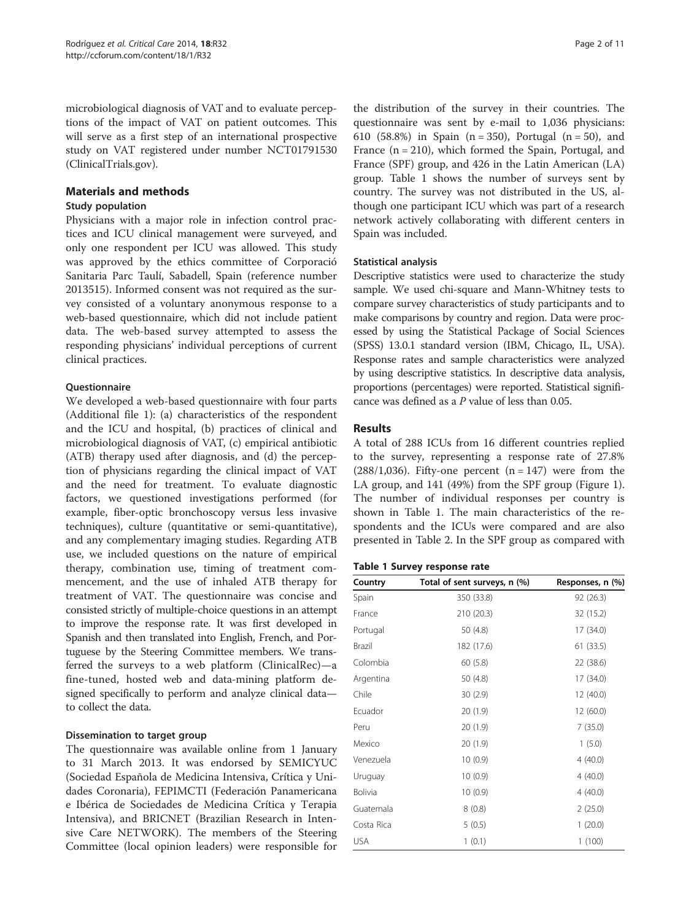microbiological diagnosis of VAT and to evaluate perceptions of the impact of VAT on patient outcomes. This will serve as a first step of an international prospective study on VAT registered under number NCT01791530 (ClinicalTrials.gov).

# Materials and methods

# Study population

Physicians with a major role in infection control practices and ICU clinical management were surveyed, and only one respondent per ICU was allowed. This study was approved by the ethics committee of Corporació Sanitaria Parc Taulí, Sabadell, Spain (reference number 2013515). Informed consent was not required as the survey consisted of a voluntary anonymous response to a web-based questionnaire, which did not include patient data. The web-based survey attempted to assess the responding physicians' individual perceptions of current clinical practices.

# **Questionnaire**

We developed a web-based questionnaire with four parts (Additional file [1\)](#page-7-0): (a) characteristics of the respondent and the ICU and hospital, (b) practices of clinical and microbiological diagnosis of VAT, (c) empirical antibiotic (ATB) therapy used after diagnosis, and (d) the perception of physicians regarding the clinical impact of VAT and the need for treatment. To evaluate diagnostic factors, we questioned investigations performed (for example, fiber-optic bronchoscopy versus less invasive techniques), culture (quantitative or semi-quantitative), and any complementary imaging studies. Regarding ATB use, we included questions on the nature of empirical therapy, combination use, timing of treatment commencement, and the use of inhaled ATB therapy for treatment of VAT. The questionnaire was concise and consisted strictly of multiple-choice questions in an attempt to improve the response rate. It was first developed in Spanish and then translated into English, French, and Portuguese by the Steering Committee members. We transferred the surveys to a web platform (ClinicalRec)—a fine-tuned, hosted web and data-mining platform designed specifically to perform and analyze clinical data to collect the data.

# Dissemination to target group

The questionnaire was available online from 1 January to 31 March 2013. It was endorsed by SEMICYUC (Sociedad Española de Medicina Intensiva, Crítica y Unidades Coronaria), FEPIMCTI (Federación Panamericana e Ibérica de Sociedades de Medicina Crítica y Terapia Intensiva), and BRICNET (Brazilian Research in Intensive Care NETWORK). The members of the Steering Committee (local opinion leaders) were responsible for

the distribution of the survey in their countries. The questionnaire was sent by e-mail to 1,036 physicians: 610 (58.8%) in Spain (n = 350), Portugal (n = 50), and France (n = 210), which formed the Spain, Portugal, and France (SPF) group, and 426 in the Latin American (LA) group. Table 1 shows the number of surveys sent by country. The survey was not distributed in the US, although one participant ICU which was part of a research network actively collaborating with different centers in Spain was included.

# Statistical analysis

Descriptive statistics were used to characterize the study sample. We used chi-square and Mann-Whitney tests to compare survey characteristics of study participants and to make comparisons by country and region. Data were processed by using the Statistical Package of Social Sciences (SPSS) 13.0.1 standard version (IBM, Chicago, IL, USA). Response rates and sample characteristics were analyzed by using descriptive statistics. In descriptive data analysis, proportions (percentages) were reported. Statistical significance was defined as a P value of less than 0.05.

# **Results**

A total of 288 ICUs from 16 different countries replied to the survey, representing a response rate of 27.8% (288/1,036). Fifty-one percent  $(n = 147)$  were from the LA group, and 141 (49%) from the SPF group (Figure [1](#page-2-0)). The number of individual responses per country is shown in Table 1. The main characteristics of the respondents and the ICUs were compared and are also presented in Table [2](#page-3-0). In the SPF group as compared with

Table 1 Survey response rate

| Country        | Total of sent surveys, n (%) | Responses, n (%) |
|----------------|------------------------------|------------------|
| Spain          | 350 (33.8)                   | 92(26.3)         |
| France         | 210 (20.3)                   | 32 (15.2)        |
| Portugal       | 50 (4.8)                     | 17 (34.0)        |
| <b>Brazil</b>  | 182 (17.6)                   | 61(33.5)         |
| Colombia       | 60(5.8)                      | 22 (38.6)        |
| Argentina      | 50 (4.8)                     | 17 (34.0)        |
| Chile          | 30(2.9)                      | 12 (40.0)        |
| Ecuador        | 20(1.9)                      | 12 (60.0)        |
| Peru           | 20(1.9)                      | 7(35.0)          |
| Mexico         | 20 (1.9)                     | 1(5.0)           |
| Venezuela      | 10(0.9)                      | 4(40.0)          |
| Uruguay        | 10(0.9)                      | 4(40.0)          |
| <b>Bolivia</b> | 10(0.9)                      | 4(40.0)          |
| Guatemala      | 8(0.8)                       | 2(25.0)          |
| Costa Rica     | 5(0.5)                       | 1(20.0)          |
| <b>USA</b>     | 1(0.1)                       | 1(100)           |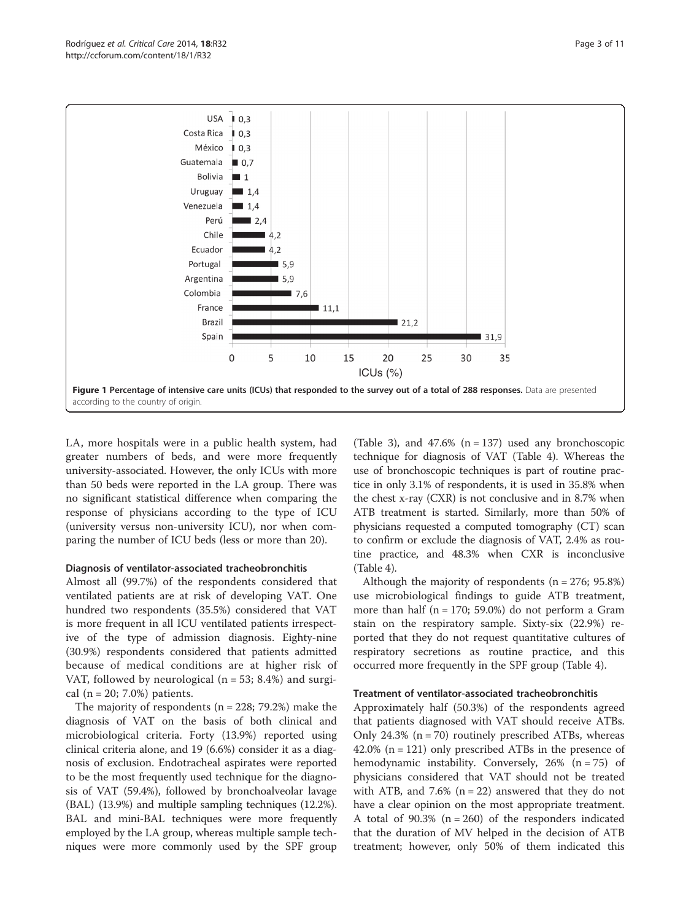<span id="page-2-0"></span>

LA, more hospitals were in a public health system, had greater numbers of beds, and were more frequently university-associated. However, the only ICUs with more than 50 beds were reported in the LA group. There was no significant statistical difference when comparing the response of physicians according to the type of ICU (university versus non-university ICU), nor when comparing the number of ICU beds (less or more than 20).

#### Diagnosis of ventilator-associated tracheobronchitis

Almost all (99.7%) of the respondents considered that ventilated patients are at risk of developing VAT. One hundred two respondents (35.5%) considered that VAT is more frequent in all ICU ventilated patients irrespective of the type of admission diagnosis. Eighty-nine (30.9%) respondents considered that patients admitted because of medical conditions are at higher risk of VAT, followed by neurological  $(n = 53; 8.4%)$  and surgical (n = 20; 7.0%) patients.

The majority of respondents  $(n = 228; 79.2%)$  make the diagnosis of VAT on the basis of both clinical and microbiological criteria. Forty (13.9%) reported using clinical criteria alone, and 19 (6.6%) consider it as a diagnosis of exclusion. Endotracheal aspirates were reported to be the most frequently used technique for the diagnosis of VAT (59.4%), followed by bronchoalveolar lavage (BAL) (13.9%) and multiple sampling techniques (12.2%). BAL and mini-BAL techniques were more frequently employed by the LA group, whereas multiple sample techniques were more commonly used by the SPF group (Table [3](#page-3-0)), and  $47.6\%$  (n = 137) used any bronchoscopic technique for diagnosis of VAT (Table [4](#page-4-0)). Whereas the use of bronchoscopic techniques is part of routine practice in only 3.1% of respondents, it is used in 35.8% when the chest x-ray (CXR) is not conclusive and in 8.7% when ATB treatment is started. Similarly, more than 50% of physicians requested a computed tomography (CT) scan to confirm or exclude the diagnosis of VAT, 2.4% as routine practice, and 48.3% when CXR is inconclusive (Table [4](#page-4-0)).

Although the majority of respondents  $(n = 276; 95.8%)$ use microbiological findings to guide ATB treatment, more than half  $(n = 170; 59.0%)$  do not perform a Gram stain on the respiratory sample. Sixty-six (22.9%) reported that they do not request quantitative cultures of respiratory secretions as routine practice, and this occurred more frequently in the SPF group (Table [4\)](#page-4-0).

#### Treatment of ventilator-associated tracheobronchitis

Approximately half (50.3%) of the respondents agreed that patients diagnosed with VAT should receive ATBs. Only 24.3%  $(n = 70)$  routinely prescribed ATBs, whereas 42.0% ( $n = 121$ ) only prescribed ATBs in the presence of hemodynamic instability. Conversely,  $26\%$  (n = 75) of physicians considered that VAT should not be treated with ATB, and 7.6%  $(n = 22)$  answered that they do not have a clear opinion on the most appropriate treatment. A total of  $90.3\%$  (n = 260) of the responders indicated that the duration of MV helped in the decision of ATB treatment; however, only 50% of them indicated this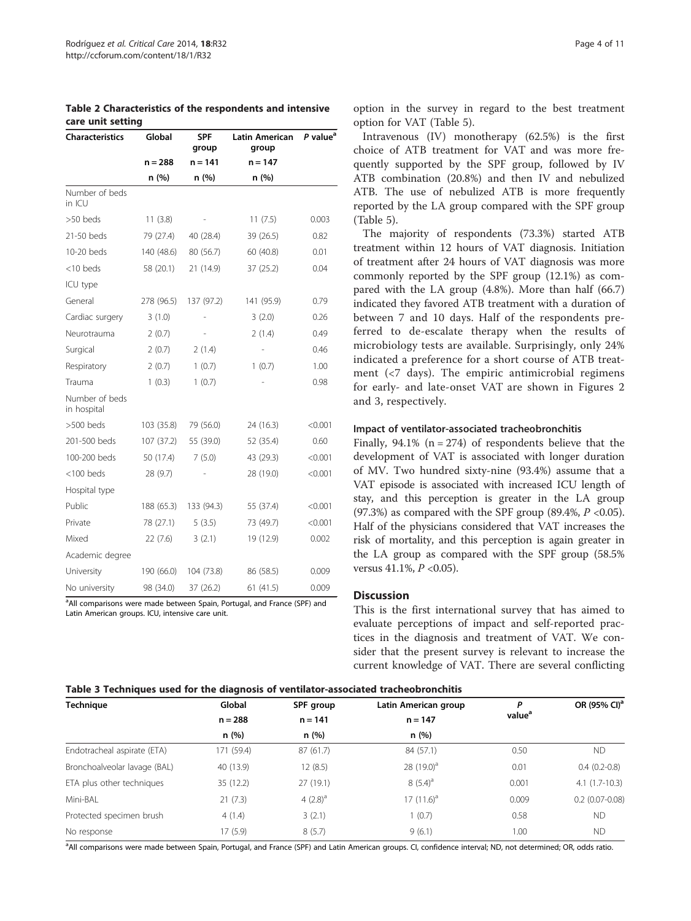<span id="page-3-0"></span>Table 2 Characteristics of the respondents and intensive care unit setting

| <b>Characteristics</b>        | Global     | <b>SPF</b><br>group | Latin American<br>group | P value <sup>a</sup> |  |
|-------------------------------|------------|---------------------|-------------------------|----------------------|--|
|                               | $n = 288$  | n = 141             | $n = 147$               |                      |  |
|                               | n(%)       | n (%)               | n (%)                   |                      |  |
| Number of beds<br>in ICU      |            |                     |                         |                      |  |
| >50 beds                      | 11(3.8)    |                     | 11(7.5)                 | 0.003                |  |
| 21-50 beds                    | 79 (27.4)  | 40 (28.4)           | 39 (26.5)               | 0.82                 |  |
| 10-20 beds                    | 140 (48.6) | 80 (56.7)           | 60 (40.8)               | 0.01                 |  |
| $<$ 10 beds                   | 58 (20.1)  | 21 (14.9)           | 37 (25.2)               | 0.04                 |  |
| ICU type                      |            |                     |                         |                      |  |
| General                       | 278 (96.5) | 137 (97.2)          | 141 (95.9)              | 0.79                 |  |
| Cardiac surgery               | 3(1.0)     |                     | 3(2.0)                  | 0.26                 |  |
| Neurotrauma                   | 2(0.7)     | i.                  | 2(1.4)                  | 0.49                 |  |
| Surgical                      | 2(0.7)     | 2(1.4)              | $\frac{1}{2}$           | 0.46                 |  |
| Respiratory                   | 2(0.7)     | 1(0.7)              | 1(0.7)                  | 1.00                 |  |
| Trauma                        | 1(0.3)     | 1(0.7)              |                         | 0.98                 |  |
| Number of beds<br>in hospital |            |                     |                         |                      |  |
| $>500$ beds                   | 103 (35.8) | 79 (56.0)           | 24 (16.3)               | < 0.001              |  |
| 201-500 beds                  | 107 (37.2) | 55 (39.0)           | 52 (35.4)               | 0.60                 |  |
| 100-200 beds                  | 50 (17.4)  | 7(5.0)              | 43 (29.3)               | < 0.001              |  |
| $<$ 100 beds                  | 28 (9.7)   |                     | 28 (19.0)               | < 0.001              |  |
| Hospital type                 |            |                     |                         |                      |  |
| Public                        | 188 (65.3) | 133 (94.3)          | 55 (37.4)               | < 0.001              |  |
| Private                       | 78 (27.1)  | 5(3.5)              | 73 (49.7)               | < 0.001              |  |
| Mixed                         | 22(7.6)    | 3(2.1)              | 19 (12.9)               | 0.002                |  |
| Academic degree               |            |                     |                         |                      |  |
| University                    | 190 (66.0) | 104 (73.8)          | 86 (58.5)               | 0.009                |  |
| No university                 | 98 (34.0)  | 37 (26.2)           | 61(41.5)                | 0.009                |  |

<sup>a</sup>All comparisons were made between Spain, Portugal, and France (SPF) and Latin American groups. ICU, intensive care unit.

option in the survey in regard to the best treatment option for VAT (Table [5\)](#page-5-0).

Intravenous (IV) monotherapy (62.5%) is the first choice of ATB treatment for VAT and was more frequently supported by the SPF group, followed by IV ATB combination (20.8%) and then IV and nebulized ATB. The use of nebulized ATB is more frequently reported by the LA group compared with the SPF group (Table [5\)](#page-5-0).

The majority of respondents (73.3%) started ATB treatment within 12 hours of VAT diagnosis. Initiation of treatment after 24 hours of VAT diagnosis was more commonly reported by the SPF group (12.1%) as compared with the LA group (4.8%). More than half (66.7) indicated they favored ATB treatment with a duration of between 7 and 10 days. Half of the respondents preferred to de-escalate therapy when the results of microbiology tests are available. Surprisingly, only 24% indicated a preference for a short course of ATB treatment (<7 days). The empiric antimicrobial regimens for early- and late-onset VAT are shown in Figures [2](#page-6-0) and [3](#page-6-0), respectively.

#### Impact of ventilator-associated tracheobronchitis

Finally,  $94.1\%$  (n = 274) of respondents believe that the development of VAT is associated with longer duration of MV. Two hundred sixty-nine (93.4%) assume that a VAT episode is associated with increased ICU length of stay, and this perception is greater in the LA group  $(97.3\%)$  as compared with the SPF group  $(89.4\%, P < 0.05)$ . Half of the physicians considered that VAT increases the risk of mortality, and this perception is again greater in the LA group as compared with the SPF group (58.5% versus  $41.1\%$ ,  $P < 0.05$ ).

# **Discussion**

This is the first international survey that has aimed to evaluate perceptions of impact and self-reported practices in the diagnosis and treatment of VAT. We consider that the present survey is relevant to increase the current knowledge of VAT. There are several conflicting

| Table 3 Techniques used for the diagnosis of ventilator-associated tracheobronchitis |  |
|--------------------------------------------------------------------------------------|--|
|--------------------------------------------------------------------------------------|--|

| <b>Technique</b>             | Global     | SPF group   | Latin American group | P                  | OR (95% CI) <sup>a</sup> |
|------------------------------|------------|-------------|----------------------|--------------------|--------------------------|
|                              | $n = 288$  | $n = 141$   | $n = 147$            | value <sup>a</sup> |                          |
|                              | n(%)       | n(%)        | n (%)                |                    |                          |
| Endotracheal aspirate (ETA)  | 171 (59.4) | 87(61.7)    | 84 (57.1)            | 0.50               | <b>ND</b>                |
| Bronchoalveolar lavage (BAL) | 40 (13.9)  | 12(8.5)     | 28 $(19.0)^a$        | 0.01               | $0.4(0.2-0.8)$           |
| ETA plus other techniques    | 35 (12.2)  | 27(19.1)    | $8(5.4)^a$           | 0.001              | $4.1(1.7-10.3)$          |
| Mini-BAL                     | 21(7.3)    | 4 $(2.8)^a$ | 17 $(11.6)^a$        | 0.009              | $0.2$ (0.07-0.08)        |
| Protected specimen brush     | 4(1.4)     | 3(2.1)      | 1(0.7)               | 0.58               | <b>ND</b>                |
| No response                  | 17(5.9)    | 8(5.7)      | 9(6.1)               | 1.00               | <b>ND</b>                |

a<br>All comparisons were made between Spain, Portugal, and France (SPF) and Latin American groups. Cl, confidence interval; ND, not determined; OR, odds ratio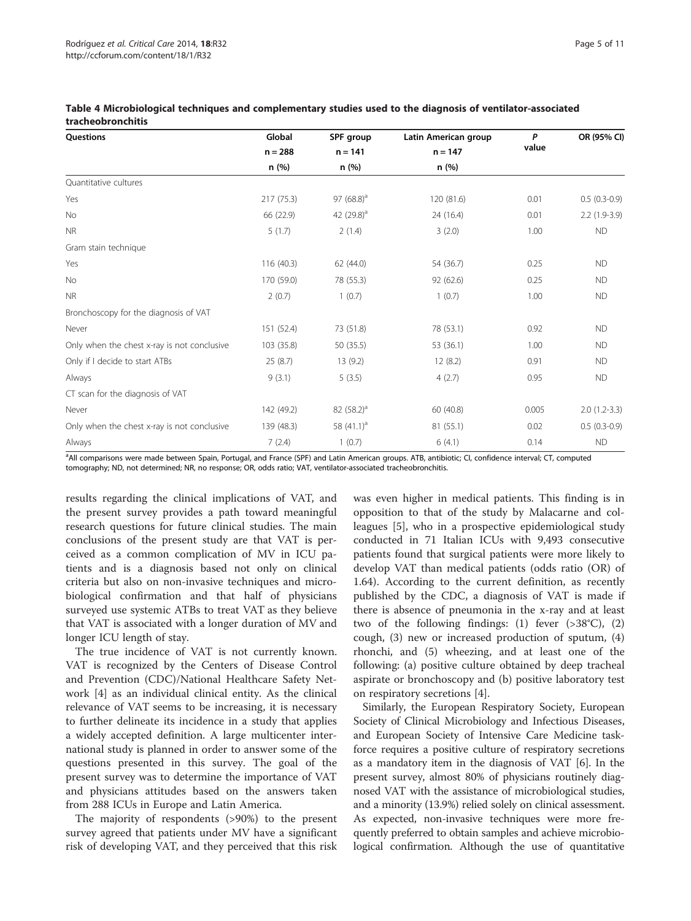| <b>Ouestions</b>                            | Global     | SPF group     | Latin American group | P<br>value | OR (95% CI)    |
|---------------------------------------------|------------|---------------|----------------------|------------|----------------|
|                                             | $n = 288$  | $n = 141$     | $n = 147$            |            |                |
|                                             | n(%)       | n (%)         | n (%)                |            |                |
| Ouantitative cultures                       |            |               |                      |            |                |
| Yes                                         | 217 (75.3) | 97 $(68.8)^a$ | 120 (81.6)           | 0.01       | $0.5(0.3-0.9)$ |
| <b>No</b>                                   | 66 (22.9)  | 42 $(29.8)^a$ | 24 (16.4)            | 0.01       | $2.2(1.9-3.9)$ |
| <b>NR</b>                                   | 5(1.7)     | 2(1.4)        | 3(2.0)               | 1.00       | <b>ND</b>      |
| Gram stain technique                        |            |               |                      |            |                |
| Yes                                         | 116(40.3)  | 62 (44.0)     | 54 (36.7)            | 0.25       | <b>ND</b>      |
| <b>No</b>                                   | 170 (59.0) | 78 (55.3)     | 92 (62.6)            | 0.25       | <b>ND</b>      |
| <b>NR</b>                                   | 2(0.7)     | 1(0.7)        | 1(0.7)               | 1.00       | <b>ND</b>      |
| Bronchoscopy for the diagnosis of VAT       |            |               |                      |            |                |
| Never                                       | 151 (52.4) | 73 (51.8)     | 78 (53.1)            | 0.92       | <b>ND</b>      |
| Only when the chest x-ray is not conclusive | 103 (35.8) | 50 (35.5)     | 53 (36.1)            | 1.00       | <b>ND</b>      |
| Only if I decide to start ATBs              | 25(8.7)    | 13 (9.2)      | 12(8.2)              | 0.91       | <b>ND</b>      |
| Always                                      | 9(3.1)     | 5(3.5)        | 4(2.7)               | 0.95       | <b>ND</b>      |
| CT scan for the diagnosis of VAT            |            |               |                      |            |                |
| Never                                       | 142 (49.2) | 82 $(58.2)^a$ | 60 (40.8)            | 0.005      | $2.0(1.2-3.3)$ |
| Only when the chest x-ray is not conclusive | 139 (48.3) | 58 $(41.1)^a$ | 81 (55.1)            | 0.02       | $0.5(0.3-0.9)$ |
| Always                                      | 7(2.4)     | 1(0.7)        | 6(4.1)               | 0.14       | <b>ND</b>      |

<span id="page-4-0"></span>Table 4 Microbiological techniques and complementary studies used to the diagnosis of ventilator-associated tracheobronchitis

a<br>All comparisons were made between Spain, Portugal, and France (SPF) and Latin American groups. ATB, antibiotic; CI, confidence interval; CT, computed tomography; ND, not determined; NR, no response; OR, odds ratio; VAT, ventilator-associated tracheobronchitis.

results regarding the clinical implications of VAT, and the present survey provides a path toward meaningful research questions for future clinical studies. The main conclusions of the present study are that VAT is perceived as a common complication of MV in ICU patients and is a diagnosis based not only on clinical criteria but also on non-invasive techniques and microbiological confirmation and that half of physicians surveyed use systemic ATBs to treat VAT as they believe that VAT is associated with a longer duration of MV and longer ICU length of stay.

The true incidence of VAT is not currently known. VAT is recognized by the Centers of Disease Control and Prevention (CDC)/National Healthcare Safety Network [[4](#page-10-0)] as an individual clinical entity. As the clinical relevance of VAT seems to be increasing, it is necessary to further delineate its incidence in a study that applies a widely accepted definition. A large multicenter international study is planned in order to answer some of the questions presented in this survey. The goal of the present survey was to determine the importance of VAT and physicians attitudes based on the answers taken from 288 ICUs in Europe and Latin America.

The majority of respondents (>90%) to the present survey agreed that patients under MV have a significant risk of developing VAT, and they perceived that this risk

was even higher in medical patients. This finding is in opposition to that of the study by Malacarne and colleagues [[5\]](#page-10-0), who in a prospective epidemiological study conducted in 71 Italian ICUs with 9,493 consecutive patients found that surgical patients were more likely to develop VAT than medical patients (odds ratio (OR) of 1.64). According to the current definition, as recently published by the CDC, a diagnosis of VAT is made if there is absence of pneumonia in the x-ray and at least two of the following findings: (1) fever (>38°C), (2) cough, (3) new or increased production of sputum, (4) rhonchi, and (5) wheezing, and at least one of the following: (a) positive culture obtained by deep tracheal aspirate or bronchoscopy and (b) positive laboratory test on respiratory secretions [\[4\]](#page-10-0).

Similarly, the European Respiratory Society, European Society of Clinical Microbiology and Infectious Diseases, and European Society of Intensive Care Medicine taskforce requires a positive culture of respiratory secretions as a mandatory item in the diagnosis of VAT [[6\]](#page-10-0). In the present survey, almost 80% of physicians routinely diagnosed VAT with the assistance of microbiological studies, and a minority (13.9%) relied solely on clinical assessment. As expected, non-invasive techniques were more frequently preferred to obtain samples and achieve microbiological confirmation. Although the use of quantitative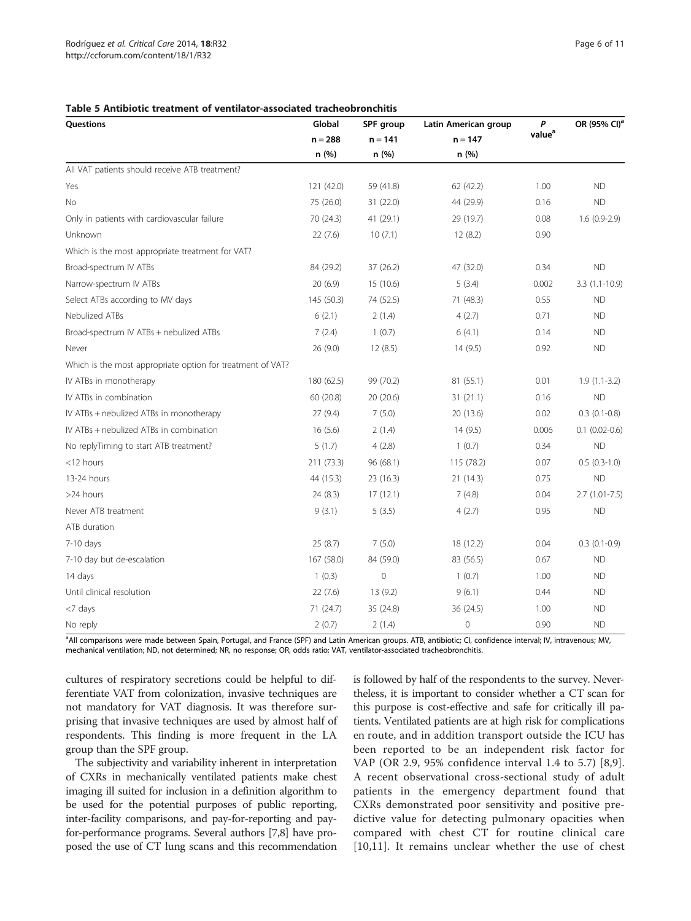#### <span id="page-5-0"></span>Table 5 Antibiotic treatment of ventilator-associated tracheobronchitis

| Questions                                                  | Global     | SPF group<br>$n = 141$<br>n (%) | Latin American group | P<br>value <sup>a</sup> | OR (95% CI) <sup>a</sup> |
|------------------------------------------------------------|------------|---------------------------------|----------------------|-------------------------|--------------------------|
|                                                            | $n = 288$  |                                 | $n = 147$            |                         |                          |
|                                                            | n (%)      |                                 | n (%)                |                         |                          |
| All VAT patients should receive ATB treatment?             |            |                                 |                      |                         |                          |
| Yes                                                        | 121 (42.0) | 59 (41.8)                       | 62 (42.2)            | 1.00                    | <b>ND</b>                |
| No                                                         | 75 (26.0)  | 31(22.0)                        | 44 (29.9)            | 0.16                    | <b>ND</b>                |
| Only in patients with cardiovascular failure               | 70 (24.3)  | 41 (29.1)                       | 29 (19.7)            | 0.08                    | $1.6(0.9-2.9)$           |
| Unknown                                                    | 22(7.6)    | 10(7.1)                         | 12(8.2)              | 0.90                    |                          |
| Which is the most appropriate treatment for VAT?           |            |                                 |                      |                         |                          |
| Broad-spectrum IV ATBs                                     | 84 (29.2)  | 37 (26.2)                       | 47 (32.0)            | 0.34                    | <b>ND</b>                |
| Narrow-spectrum IV ATBs                                    | 20 (6.9)   | 15 (10.6)                       | 5(3.4)               | 0.002                   | $3.3(1.1-10.9)$          |
| Select ATBs according to MV days                           | 145 (50.3) | 74 (52.5)                       | 71 (48.3)            | 0.55                    | <b>ND</b>                |
| Nebulized ATBs                                             | 6(2.1)     | 2(1.4)                          | 4(2.7)               | 0.71                    | <b>ND</b>                |
| Broad-spectrum IV ATBs + nebulized ATBs                    | 7(2.4)     | 1(0.7)                          | 6(4.1)               | 0.14                    | <b>ND</b>                |
| Never                                                      | 26(9.0)    | 12(8.5)                         | 14(9.5)              | 0.92                    | <b>ND</b>                |
| Which is the most appropriate option for treatment of VAT? |            |                                 |                      |                         |                          |
| IV ATBs in monotherapy                                     | 180 (62.5) | 99 (70.2)                       | 81 (55.1)            | 0.01                    | $1.9(1.1-3.2)$           |
| IV ATBs in combination                                     | 60 (20.8)  | 20 (20.6)                       | 31(21.1)             | 0.16                    | <b>ND</b>                |
| IV ATBs + nebulized ATBs in monotherapy                    | 27(9.4)    | 7(5.0)                          | 20 (13.6)            | 0.02                    | $0.3$ $(0.1 - 0.8)$      |
| IV ATBs + nebulized ATBs in combination                    | 16(5.6)    | 2(1.4)                          | 14(9.5)              | 0.006                   | $0.1$ (0.02-0.6)         |
| No replyTiming to start ATB treatment?                     | 5(1.7)     | 4(2.8)                          | 1(0.7)               | 0.34                    | <b>ND</b>                |
| <12 hours                                                  | 211 (73.3) | 96 (68.1)                       | 115 (78.2)           | 0.07                    | $0.5(0.3-1.0)$           |
| 13-24 hours                                                | 44 (15.3)  | 23(16.3)                        | 21(14.3)             | 0.75                    | <b>ND</b>                |
| >24 hours                                                  | 24 (8.3)   | 17(12.1)                        | 7(4.8)               | 0.04                    | $2.7(1.01 - 7.5)$        |
| Never ATB treatment                                        | 9(3.1)     | 5(3.5)                          | 4(2.7)               | 0.95                    | <b>ND</b>                |
| ATB duration                                               |            |                                 |                      |                         |                          |
| 7-10 days                                                  | 25(8.7)    | 7(5.0)                          | 18 (12.2)            | 0.04                    | $0.3(0.1-0.9)$           |
| 7-10 day but de-escalation                                 | 167 (58.0) | 84 (59.0)                       | 83 (56.5)            | 0.67                    | <b>ND</b>                |
| 14 days                                                    | 1(0.3)     | $\mathbf 0$                     | 1(0.7)               | 1.00                    | <b>ND</b>                |
| Until clinical resolution                                  | 22(7.6)    | 13 (9.2)                        | 9(6.1)               | 0.44                    | <b>ND</b>                |
| <7 days                                                    | 71 (24.7)  | 35 (24.8)                       | 36 (24.5)            | 1.00                    | <b>ND</b>                |
| No reply                                                   | 2(0.7)     | 2(1.4)                          | $\mathbf 0$          | 0.90                    | <b>ND</b>                |

a<br>All comparisons were made between Spain, Portugal, and France (SPF) and Latin American groups. ATB, antibiotic; Cl, confidence interval; IV, intravenous; MV, mechanical ventilation; ND, not determined; NR, no response; OR, odds ratio; VAT, ventilator-associated tracheobronchitis.

cultures of respiratory secretions could be helpful to differentiate VAT from colonization, invasive techniques are not mandatory for VAT diagnosis. It was therefore surprising that invasive techniques are used by almost half of respondents. This finding is more frequent in the LA group than the SPF group.

The subjectivity and variability inherent in interpretation of CXRs in mechanically ventilated patients make chest imaging ill suited for inclusion in a definition algorithm to be used for the potential purposes of public reporting, inter-facility comparisons, and pay-for-reporting and payfor-performance programs. Several authors [\[7,8\]](#page-10-0) have proposed the use of CT lung scans and this recommendation is followed by half of the respondents to the survey. Nevertheless, it is important to consider whether a CT scan for this purpose is cost-effective and safe for critically ill patients. Ventilated patients are at high risk for complications en route, and in addition transport outside the ICU has been reported to be an independent risk factor for VAP (OR 2.9, 95% confidence interval 1.4 to 5.7) [[8,9](#page-10-0)]. A recent observational cross-sectional study of adult patients in the emergency department found that CXRs demonstrated poor sensitivity and positive predictive value for detecting pulmonary opacities when compared with chest CT for routine clinical care [[10,11\]](#page-10-0). It remains unclear whether the use of chest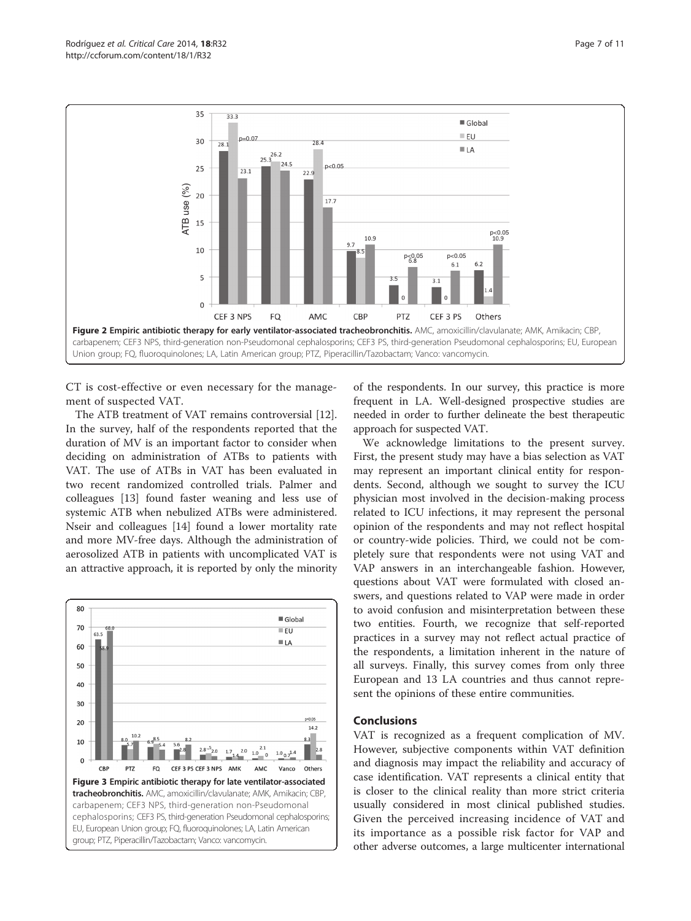<span id="page-6-0"></span>

CT is cost-effective or even necessary for the management of suspected VAT.

The ATB treatment of VAT remains controversial [\[12](#page-10-0)]. In the survey, half of the respondents reported that the duration of MV is an important factor to consider when deciding on administration of ATBs to patients with VAT. The use of ATBs in VAT has been evaluated in two recent randomized controlled trials. Palmer and colleagues [\[13\]](#page-10-0) found faster weaning and less use of systemic ATB when nebulized ATBs were administered. Nseir and colleagues [[14](#page-10-0)] found a lower mortality rate and more MV-free days. Although the administration of aerosolized ATB in patients with uncomplicated VAT is an attractive approach, it is reported by only the minority



of the respondents. In our survey, this practice is more frequent in LA. Well-designed prospective studies are needed in order to further delineate the best therapeutic approach for suspected VAT.

We acknowledge limitations to the present survey. First, the present study may have a bias selection as VAT may represent an important clinical entity for respondents. Second, although we sought to survey the ICU physician most involved in the decision-making process related to ICU infections, it may represent the personal opinion of the respondents and may not reflect hospital or country-wide policies. Third, we could not be completely sure that respondents were not using VAT and VAP answers in an interchangeable fashion. However, questions about VAT were formulated with closed answers, and questions related to VAP were made in order to avoid confusion and misinterpretation between these two entities. Fourth, we recognize that self-reported practices in a survey may not reflect actual practice of the respondents, a limitation inherent in the nature of all surveys. Finally, this survey comes from only three European and 13 LA countries and thus cannot represent the opinions of these entire communities.

# Conclusions

VAT is recognized as a frequent complication of MV. However, subjective components within VAT definition and diagnosis may impact the reliability and accuracy of case identification. VAT represents a clinical entity that is closer to the clinical reality than more strict criteria usually considered in most clinical published studies. Given the perceived increasing incidence of VAT and its importance as a possible risk factor for VAP and other adverse outcomes, a large multicenter international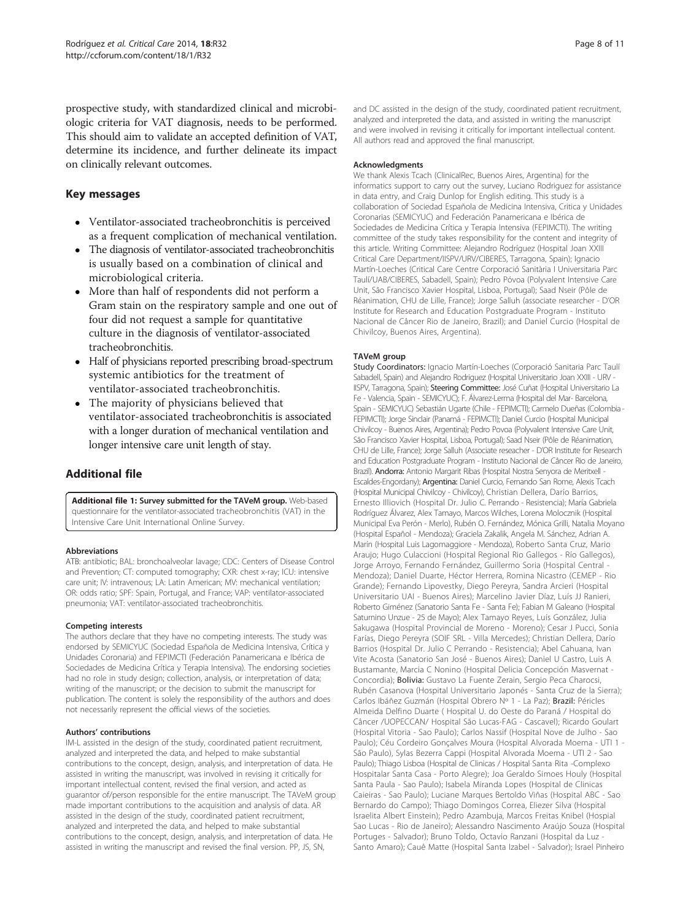<span id="page-7-0"></span>prospective study, with standardized clinical and microbiologic criteria for VAT diagnosis, needs to be performed. This should aim to validate an accepted definition of VAT, determine its incidence, and further delineate its impact on clinically relevant outcomes.

# Key messages

- Ventilator-associated tracheobronchitis is perceived as a frequent complication of mechanical ventilation.
- The diagnosis of ventilator-associated tracheobronchitis is usually based on a combination of clinical and microbiological criteria.
- More than half of respondents did not perform a Gram stain on the respiratory sample and one out of four did not request a sample for quantitative culture in the diagnosis of ventilator-associated tracheobronchitis.
- Half of physicians reported prescribing broad-spectrum systemic antibiotics for the treatment of ventilator-associated tracheobronchitis.
- The majority of physicians believed that ventilator-associated tracheobronchitis is associated with a longer duration of mechanical ventilation and longer intensive care unit length of stay.

# Additional file

[Additional file 1:](http://www.biomedcentral.com/content/supplementary/cc13725-S1.pdf) Survey submitted for the TAVeM group. Web-based questionnaire for the ventilator-associated tracheobronchitis (VAT) in the Intensive Care Unit International Online Survey.

#### Abbreviations

ATB: antibiotic; BAL: bronchoalveolar lavage; CDC: Centers of Disease Control and Prevention; CT: computed tomography; CXR: chest x-ray; ICU: intensive care unit; IV: intravenous; LA: Latin American; MV: mechanical ventilation; OR: odds ratio; SPF: Spain, Portugal, and France; VAP: ventilator-associated pneumonia; VAT: ventilator-associated tracheobronchitis.

#### Competing interests

The authors declare that they have no competing interests. The study was endorsed by SEMICYUC (Sociedad Española de Medicina Intensiva, Crítica y Unidades Coronaria) and FEPIMCTI (Federación Panamericana e Ibérica de Sociedades de Medicina Crítica y Terapia Intensiva). The endorsing societies had no role in study design; collection, analysis, or interpretation of data; writing of the manuscript; or the decision to submit the manuscript for publication. The content is solely the responsibility of the authors and does not necessarily represent the official views of the societies.

#### Authors' contributions

IM-L assisted in the design of the study, coordinated patient recruitment, analyzed and interpreted the data, and helped to make substantial contributions to the concept, design, analysis, and interpretation of data. He assisted in writing the manuscript, was involved in revising it critically for important intellectual content, revised the final version, and acted as guarantor of/person responsible for the entire manuscript. The TAVeM group made important contributions to the acquisition and analysis of data. AR assisted in the design of the study, coordinated patient recruitment, analyzed and interpreted the data, and helped to make substantial contributions to the concept, design, analysis, and interpretation of data. He assisted in writing the manuscript and revised the final version. PP, JS, SN,

and DC assisted in the design of the study, coordinated patient recruitment, analyzed and interpreted the data, and assisted in writing the manuscript and were involved in revising it critically for important intellectual content. All authors read and approved the final manuscript.

#### Acknowledgments

We thank Alexis Tcach (ClinicalRec, Buenos Aires, Argentina) for the informatics support to carry out the survey, Luciano Rodriguez for assistance in data entry, and Craig Dunlop for English editing. This study is a collaboration of Sociedad Española de Medicina Intensiva, Critica y Unidades Coronarias (SEMICYUC) and Federación Panamericana e Ibérica de Sociedades de Medicina Crítica y Terapia Intensiva (FEPIMCTI). The writing committee of the study takes responsibility for the content and integrity of this article. Writing Committee: Alejandro Rodríguez (Hospital Joan XXIII Critical Care Department/IISPV/URV/CIBERES, Tarragona, Spain); Ignacio Martín-Loeches (Critical Care Centre Corporació Sanitària I Universitaria Parc Taulí/UAB/CIBERES, Sabadell, Spain); Pedro Póvoa (Polyvalent Intensive Care Unit, São Francisco Xavier Hospital, Lisboa, Portugal); Saad Nseir (Pôle de Réanimation, CHU de Lille, France); Jorge Salluh (associate researcher - D'OR Institute for Research and Education Postgraduate Program - Instituto Nacional de Câncer Rio de Janeiro, Brazil); and Daniel Curcio (Hospital de Chivilcoy, Buenos Aires, Argentina).

#### TAVeM group

Study Coordinators: Ignacio Martín-Loeches (Corporació Sanitaria Parc Taulí Sabadell, Spain) and Alejandro Rodriguez (Hospital Universitario Joan XXIII - URV - IISPV, Tarragona, Spain); Steering Committee: José Cuñat (Hospital Universitario La Fe - Valencia, Spain - SEMICYUC); F. Álvarez-Lerma (Hospital del Mar- Barcelona, Spain - SEMICYUC) Sebastián Ugarte (Chile - FEPIMCTI); Carmelo Dueñas (Colombia-FEPIMCTI); Jorge Sinclair (Panamá - FEPIMCTI); Daniel Curcio (Hospital Municipal Chivilcoy - Buenos Aires, Argentina); Pedro Povoa (Polyvalent Intensive Care Unit, São Francisco Xavier Hospital, Lisboa, Portugal); Saad Nseir (Pôle de Réanimation, CHU de Lille, France); Jorge Salluh (Associate reseacher - D'OR Institute for Research and Education Postgraduate Program - Instituto Nacional de Câncer Rio de Janeiro, Brazil). Andorra: Antonio Margarit Ribas (Hospital Nostra Senyora de Meritxell -Escaldes-Engordany); Argentina: Daniel Curcio, Fernando San Rome, Alexis Tcach (Hospital Municipal Chivilcoy - Chivilcoy), Christian Dellera, Darío Barrios, Ernesto Illiovich (Hospital Dr. Julio C. Perrando - Resistencia); María Gabriela Rodríguez Álvarez, Alex Tamayo, Marcos Wilches, Lorena Molocznik (Hospital Municipal Eva Perón - Merlo), Rubén O. Fernández, Mónica Grilli, Natalia Moyano (Hospital Español - Mendoza); Graciela Zakalik, Angela M. Sánchez, Adrian A. Marín (Hospital Luis Lagomaggiore - Mendoza), Roberto Santa Cruz, Mario Araujo; Hugo Culaccioni (Hospital Regional Rio Gallegos - Río Gallegos), Jorge Arroyo, Fernando Fernández, Guillermo Soria (Hospital Central -Mendoza); Daniel Duarte, Héctor Herrera, Romina Nicastro (CEMEP - Rio Grande); Fernando Lipovestky, Diego Pereyra, Sandra Arcieri (Hospital Universitario UAI - Buenos Aires); Marcelino Javier Díaz, Luís JJ Ranieri, Roberto Giménez (Sanatorio Santa Fe - Santa Fe); Fabian M Galeano (Hospital Saturnino Unzue - 25 de Mayo); Alex Tamayo Reyes, Luís González, Julia Sakugawa (Hospital Provincial de Moreno - Moreno); Cesar J Pucci, Sonia Farías, Diego Pereyra (SOIF SRL - Villa Mercedes); Christian Dellera, Darío Barrios (Hospital Dr. Julio C Perrando - Resistencia); Abel Cahuana, Ivan Vite Acosta (Sanatorio San José - Buenos Aires); Daniel U Castro, Luis A Bustamante, Marcia C Nonino (Hospital Delicia Concepción Masvernat - Concordia); Bolivia: Gustavo La Fuente Zerain, Sergio Peca Charocsi, Rubén Casanova (Hospital Universitario Japonés - Santa Cruz de la Sierra); Carlos Ibáñez Guzmán (Hospital Obrero Nº 1 - La Paz); Brazil: Péricles Almeida Delfino Duarte ( Hospital U. do Oeste do Paraná / Hospital do Câncer /UOPECCAN/ Hospital São Lucas-FAG - Cascavel); Ricardo Goulart (Hospital Vitoria - Sao Paulo); Carlos Nassif (Hospital Nove de Julho - Sao Paulo); Céu Cordeiro Gonçalves Moura (Hospital Alvorada Moema - UTI 1 - São Paulo), Sylas Bezerra Cappi (Hospital Alvorada Moema - UTI 2 - Sao Paulo); Thiago Lisboa (Hospital de Clinicas / Hospital Santa Rita -Complexo Hospitalar Santa Casa - Porto Alegre); Joa Geraldo Simoes Houly (Hospital Santa Paula - Sao Paulo); Isabela Miranda Lopes (Hospital de Clinicas Caieiras - Sao Paulo); Luciane Marques Bertoldo Viñas (Hospital ABC - Sao Bernardo do Campo); Thiago Domingos Correa, Eliezer Silva (Hospital Israelita Albert Einstein); Pedro Azambuja, Marcos Freitas Knibel (Hospial Sao Lucas - Rio de Janeiro); Alessandro Nascimento Araújo Souza (Hospital Portuges - Salvador); Bruno Toldo, Octavio Ranzani (Hospital da Luz - Santo Amaro); Cauê Matte (Hospital Santa Izabel - Salvador); Israel Pinheiro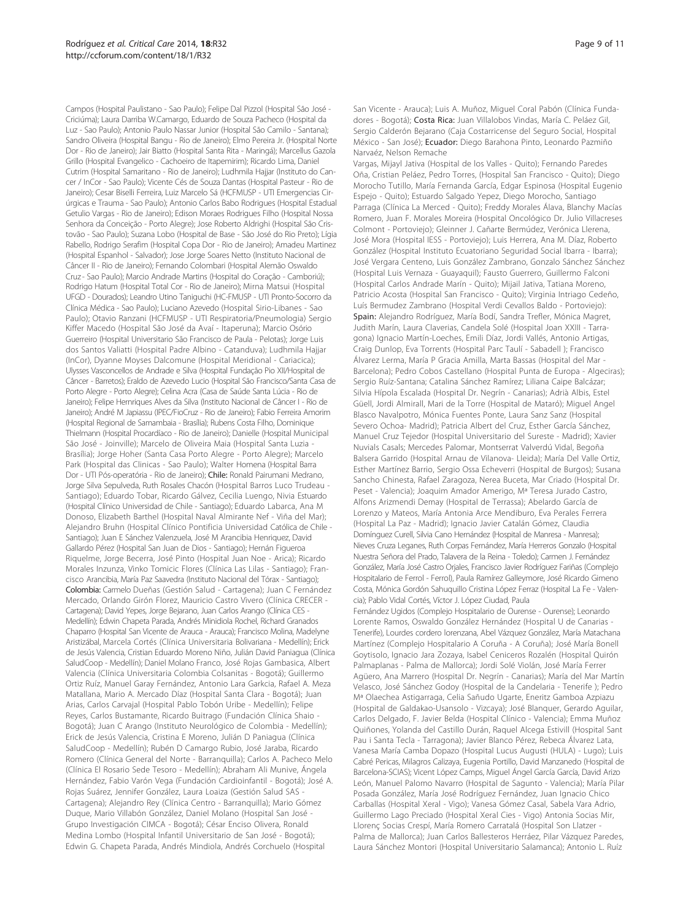Campos (Hospital Paulistano - Sao Paulo); Felipe Dal Pizzol (Hospital São José - Criciúma); Laura Darriba W.Camargo, Eduardo de Souza Pacheco (Hospital da Luz - Sao Paulo); Antonio Paulo Nassar Junior (Hospital São Camilo - Santana); Sandro Oliveira (Hospital Bangu - Rio de Janeiro); Elmo Pereira Jr. (Hospital Norte Dor - Rio de Janeiro); Jair Biatto (Hospital Santa Rita - Maringá); Marcellus Gazola Grillo (Hospital Evangelico - Cachoeiro de Itapemirim); Ricardo Lima, Daniel Cutrim (Hospital Samaritano - Rio de Janeiro); Ludhmila Hajjar (Instituto do Cancer / InCor - Sao Paulo); Vicente Cés de Souza Dantas (Hospital Pasteur - Rio de Janeiro); Cesar Biselli Ferreira, Luiz Marcelo Sá (HCFMUSP - UTI Emergencias Cirúrgicas e Trauma - Sao Paulo); Antonio Carlos Babo Rodrigues (Hospital Estadual Getulio Vargas - Rio de Janeiro); Edison Moraes Rodrigues Filho (Hospital Nossa Senhora da Conceição - Porto Alegre); Jose Roberto Aldrighi (Hospital São Cristovão - Sao Paulo); Suzana Lobo (Hospital de Base - São José do Rio Preto); Lígia Rabello, Rodrigo Serafim (Hospital Copa Dor - Rio de Janeiro); Amadeu Martinez (Hospital Espanhol - Salvador); Jose Jorge Soares Netto (Instituto Nacional de Câncer II - Rio de Janeiro); Fernando Colombari (Hospital Alemão Oswaldo Cruz- Sao Paulo); Marcio Andrade Martins (Hospital do Coração - Camboriú); Rodrigo Hatum (Hospital Total Cor - Rio de Janeiro); Mirna Matsui (Hospital UFGD - Dourados); Leandro Utino Taniguchi (HC-FMUSP - UTI Pronto-Socorro da Clínica Médica - Sao Paulo); Luciano Azevedo (Hospital Sirio-Libanes - Sao Paulo); Otavio Ranzani (HCFMUSP - UTI Respiratoria/Pneumologia) Sergio Kiffer Macedo (Hospital São José da Avaí - Itaperuna); Marcio Osório Guerreiro (Hospital Universitario São Francisco de Paula - Pelotas); Jorge Luis dos Santos Valiatti (Hospital Padre Albino - Catanduva); Ludhmila Hajjar (InCor), Dyanne Moyses Dalcomune (Hospital Meridional - Cariacica); Ulysses Vasconcellos de Andrade e Silva (Hospital Fundação Pio XII/Hospital de Câncer - Barretos); Eraldo de Azevedo Lucio (Hospital São Francisco/Santa Casa de Porto Alegre - Porto Alegre); Celina Acra (Casa de Saúde Santa Lúcia - Rio de Janeiro); Felipe Hernriques Alves da Silva (Instituto Nacional de Câncer I - Rio de Janeiro); André M Japiassu (IPEC/FioCruz - Rio de Janeiro); Fabio Ferreira Amorim (Hospital Regional de Samambaia - Brasília); Rubens Costa Filho, Dominique Thielmann (Hospital Procardíaco - Rio de Janeiro); Danielle (Hospital Municipal São José - Joinville); Marcelo de Oliveira Maia (Hospital Santa Luzia - Brasília); Jorge Hoher (Santa Casa Porto Alegre - Porto Alegre); Marcelo Park (Hospital das Clinicas - Sao Paulo); Walter Homena (Hospital Barra Dor - UTI Pós-operatória - Rio de Janeiro); Chile: Ronald Pairumani Medrano, Jorge Silva Sepulveda, Ruth Rosales Chacón (Hospital Barros Luco Trudeau - Santiago); Eduardo Tobar, Ricardo Gálvez, Cecilia Luengo, Nivia Estuardo (Hospital Clínico Universidad de Chile - Santiago); Eduardo Labarca, Ana M Donoso, Elizabeth Barthel (Hospital Naval Almirante Nef - Viña del Mar); Alejandro Bruhn (Hospital Clínico Pontificia Universidad Católica de Chile - Santiago); Juan E Sánchez Valenzuela, José M Arancibia Henriquez, David Gallardo Pérez (Hospital San Juan de Dios - Santiago); Hernán Figueroa Riquelme, Jorge Becerra, José Pinto (Hospital Juan Noe - Arica); Ricardo Morales Inzunza, Vinko Tomicic Flores (Clínica Las Lilas - Santiago); Francisco Arancibia, María Paz Saavedra (Instituto Nacional del Tórax - Santiago); Colombia: Carmelo Dueñas (Gestión Salud - Cartagena); Juan C Fernández Mercado, Orlando Girón Florez, Mauricio Castro Vivero (Clínica CRECER - Cartagena); David Yepes, Jorge Bejarano, Juan Carlos Arango (Clínica CES - Medellín); Edwin Chapeta Parada, Andrés Minidiola Rochel, Richard Granados Chaparro (Hospital San Vicente de Arauca - Arauca); Francisco Molina, Madelyne Aristizábal, Marcela Cortés (Clínica Universitaria Bolivariana - Medellín); Erick de Jesús Valencia, Cristian Eduardo Moreno Niño, Julián David Paniagua (Clínica SaludCoop - Medellín); Daniel Molano Franco, José Rojas Gambasica, Albert Valencia (Clínica Universitaria Colombia Colsanitas - Bogotá); Guillermo Ortiz Ruíz, Manuel Garay Fernández, Antonio Lara Garkcia, Rafael A. Meza Matallana, Mario A. Mercado Díaz (Hospital Santa Clara - Bogotá); Juan Arias, Carlos Carvajal (Hospital Pablo Tobón Uribe - Medellín); Felipe Reyes, Carlos Bustamante, Ricardo Buitrago (Fundación Clínica Shaio - Bogotá); Juan C Arango (Instituto Neurológico de Colombia - Medellín); Erick de Jesús Valencia, Cristina E Moreno, Julián D Paniagua (Clínica SaludCoop - Medellín); Rubén D Camargo Rubio, José Jaraba, Ricardo Romero (Clínica General del Norte - Barranquilla); Carlos A. Pacheco Melo (Clínica El Rosario Sede Tesoro - Medellín); Abraham Ali Munive, Ángela Hernández, Fabio Varón Vega (Fundación Cardioinfantil - Bogotá); José A. Rojas Suárez, Jennifer González, Laura Loaiza (Gestión Salud SAS - Cartagena); Alejandro Rey (Clínica Centro - Barranquilla); Mario Gómez Duque, Mario Villabón González, Daniel Molano (Hospital San José - Grupo Investigación CIMCA - Bogotá); César Enciso Olivera, Ronald Medina Lombo (Hospital Infantil Universitario de San José - Bogotá); Edwin G. Chapeta Parada, Andrés Mindiola, Andrés Corchuelo (Hospital

San Vicente - Arauca); Luis A. Muñoz, Miguel Coral Pabón (Clínica Fundadores - Bogotá); Costa Rica: Juan Villalobos Vindas, María C. Peláez Gil, Sergio Calderón Bejarano (Caja Costarricense del Seguro Social, Hospital México - San José); Ecuador: Diego Barahona Pinto, Leonardo Pazmiño Narvaéz, Nelson Remache

Vargas, Mijayl Jativa (Hospital de los Valles - Quito); Fernando Paredes Oña, Cristian Peláez, Pedro Torres, (Hospital San Francisco - Quito); Diego Morocho Tutillo, María Fernanda García, Edgar Espinosa (Hospital Eugenio Espejo - Quito); Estuardo Salgado Yepez, Diego Morocho, Santiago Parraga (Clínica La Merced - Quito); Freddy Morales Álava, Blanchy Macías Romero, Juan F. Morales Moreira (Hospital Oncológico Dr. Julio Villacreses Colmont - Portoviejo); Gleinner J. Cañarte Bermúdez, Verónica Llerena, José Mora (Hospital IESS - Portoviejo); Luis Herrera, Ana M. Díaz, Roberto González (Hospital Instituto Ecuatoriano Seguridad Social Ibarra - Ibarra); José Vergara Centeno, Luis González Zambrano, Gonzalo Sánchez Sánchez (Hospital Luis Vernaza - Guayaquil); Fausto Guerrero, Guillermo Falconi (Hospital Carlos Andrade Marín - Quito); Mijail Jativa, Tatiana Moreno, Patricio Acosta (Hospital San Francisco - Quito); Virginia Intriago Cedeño, Luís Bermudez Zambrano (Hospital Verdi Cevallos Baldo - Portoviejo): Spain: Alejandro Rodríguez, María Bodí, Sandra Trefler, Mónica Magret, Judith Marín, Laura Claverias, Candela Solé (Hospital Joan XXIII - Tarragona) Ignacio Martín-Loeches, Emili Díaz, Jordi Vallés, Antonio Artigas, Craig Dunlop, Eva Torrents (Hospital Parc Taulí - Sabadell ); Francisco Álvarez Lerma, María P Gracia Amilla, Marta Bassas (Hospital del Mar - Barcelona); Pedro Cobos Castellano (Hospital Punta de Europa - Algeciras); Sergio Ruíz-Santana; Catalina Sánchez Ramírez; Liliana Caipe Balcázar; Silvia Hípola Escalada (Hospital Dr. Negrín - Canarias); Adrià Albis, Estel Güell, Jordi Almirall, Mari de la Torre (Hospital de Mataró); Miguel Angel Blasco Navalpotro, Mónica Fuentes Ponte, Laura Sanz Sanz (Hospital Severo Ochoa- Madrid); Patricia Albert del Cruz, Esther García Sánchez, Manuel Cruz Tejedor (Hospital Universitario del Sureste - Madrid); Xavier Nuvials Casals; Mercedes Palomar, Montserrat Valverdú Vidal, Begoña Balsera Garrido (Hospital Arnau de Vilanova- Lleida); María Del Valle Ortiz, Esther Martínez Barrio, Sergio Ossa Echeverri (Hospital de Burgos); Susana Sancho Chinesta, Rafael Zaragoza, Nerea Buceta, Mar Criado (Hospital Dr. Peset - Valencia); Joaquim Amador Amerigo, Mª Teresa Jurado Castro, Alfons Arizmendi Demay (Hospital de Terrassa); Abelardo García de Lorenzo y Mateos, María Antonia Arce Mendiburo, Eva Perales Ferrera (Hospital La Paz - Madrid); Ignacio Javier Catalán Gómez, Claudia Domínguez Curell, Silvia Cano Hernández (Hospital de Manresa - Manresa); Nieves Cruza Leganes, Ruth Corpas Fernández, María Herreros Gonzalo (Hospital Nuestra Señora del Prado, Talavera de la Reina - Toledo); Carmen J. Fernández González, María José Castro Orjales, Francisco Javier Rodríguez Fariñas (Complejo Hospitalario de Ferrol - Ferrol), Paula Ramírez Galleymore, José Ricardo Gimeno Costa, Mónica Gordón Sahuquillo Cristina López Ferraz (Hospital La Fe - Valencia); Pablo Vidal Cortés, Víctor J. López Ciudad, Paula Fernández Ugidos (Complejo Hospitalario de Ourense - Ourense); Leonardo

Lorente Ramos, Oswaldo González Hernández (Hospital U de Canarias - Tenerife), Lourdes cordero lorenzana, Abel Vázquez González, María Matachana Martínez (Complejo Hospitalario A Coruña - A Coruña); José María Bonell Goytisolo, Ignacio Jara Zozaya, Isabel Ceniceros Rozalén (Hospital Quirón Palmaplanas - Palma de Mallorca); Jordi Solé Violán, José María Ferrer Agüero, Ana Marrero (Hospital Dr. Negrín - Canarias); María del Mar Martín Velasco, José Sánchez Godoy (Hospital de la Candelaria - Tenerife ); Pedro Mª Olaechea Astigarraga, Celia Sañudo Ugarte, Eneritz Gamboa Azpiazu (Hospital de Galdakao-Usansolo - Vizcaya); José Blanquer, Gerardo Aguilar, Carlos Delgado, F. Javier Belda (Hospital Clínico - Valencia); Emma Muñoz Quiñones, Yolanda del Castillo Durán, Raquel Alcega Estivill (Hospital Sant Pau i Santa Tecla - Tarragona); Javier Blanco Pérez, Rebeca Álvarez Lata, Vanesa María Camba Dopazo (Hospital Lucus Augusti (HULA) - Lugo); Luis Cabré Pericas, Milagros Calizaya, Eugenia Portillo, David Manzanedo (Hospital de Barcelona-SCIAS); Vicent López Camps, Miguel Ángel García García, David Arizo León, Manuel Palomo Navarro (Hospital de Sagunto - Valencia); María Pilar Posada González, María José Rodríguez Fernández, Juan Ignacio Chico Carballas (Hospital Xeral - Vigo); Vanesa Gómez Casal, Sabela Vara Adrio, Guillermo Lago Preciado (Hospital Xeral Cies - Vigo) Antonia Socias Mir, Llorenç Socias Crespí, María Romero Carratalá (Hospital Son Llatzer - Palma de Mallorca); Juan Carlos Ballesteros Herráez, Pilar Vázquez Paredes, Laura Sánchez Montori (Hospital Universitario Salamanca); Antonio L. Ruíz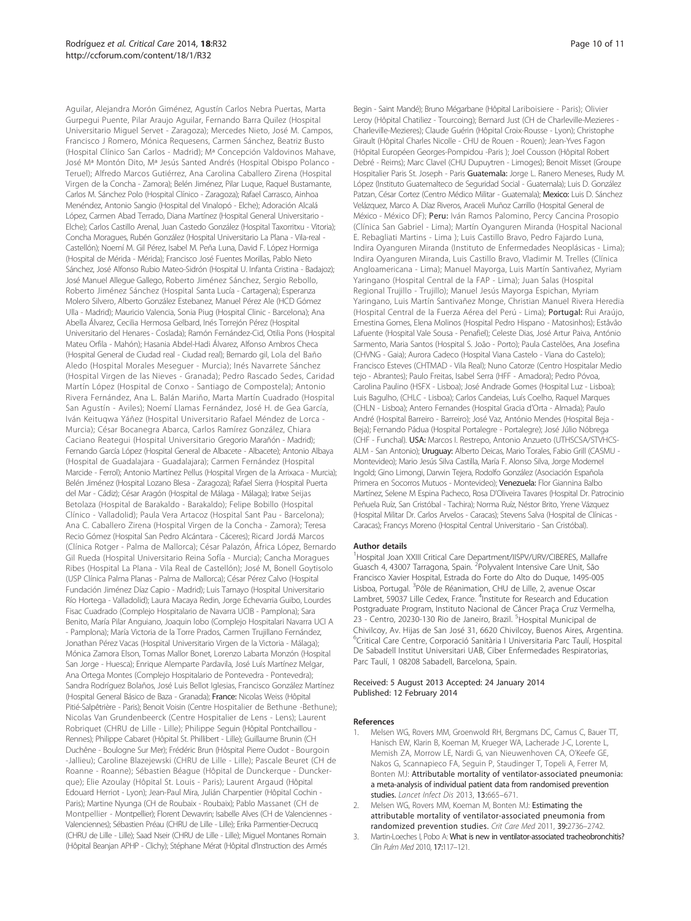<span id="page-9-0"></span>Aguilar, Alejandra Morón Giménez, Agustín Carlos Nebra Puertas, Marta Gurpegui Puente, Pilar Araujo Aguilar, Fernando Barra Quilez (Hospital Universitario Miguel Servet - Zaragoza); Mercedes Nieto, José M. Campos, Francisco J Romero, Mónica Requesens, Carmen Sánchez, Beatriz Busto (Hospital Clínico San Carlos - Madrid); Mª Concepción Valdovinos Mahave, José Mª Montón Dito, Mª Jesús Santed Andrés (Hospital Obispo Polanco - Teruel); Alfredo Marcos Gutiérrez, Ana Carolina Caballero Zirena (Hospital Virgen de la Concha - Zamora); Belén Jiménez, Pilar Luque, Raquel Bustamante, Carlos M. Sánchez Polo (Hospital Clínico - Zaragoza); Rafael Carrasco, Ainhoa Menéndez, Antonio Sangio (Hospital del Vinalopó - Elche); Adoración Alcalá López, Carmen Abad Terrado, Diana Martínez (Hospital General Universitario - Elche); Carlos Castillo Arenal, Juan Castedo González (Hospital Taxorritxu - Vitoria); Concha Moragues, Rubén González (Hospital Universitario La Plana - Vila-real - Castellón); Noemí M. Gil Pérez, Isabel M. Peña Luna, David F. López Hormiga (Hospital de Mérida - Mérida); Francisco José Fuentes Morillas, Pablo Nieto Sánchez, José Alfonso Rubio Mateo-Sidrón (Hospital U. Infanta Cristina - Badajoz); José Manuel Allegue Gallego, Roberto Jiménez Sánchez, Sergio Rebollo, Roberto Jiménez Sánchez (Hospital Santa Lucía - Cartagena); Esperanza Molero Silvero, Alberto González Estebanez, Manuel Pérez Ale (HCD Gómez Ulla - Madrid); Mauricio Valencia, Sonia Piug (Hospital Clinic - Barcelona); Ana Abella Álvarez, Cecilia Hermosa Gelbard, Inés Torrejón Pérez (Hospital Universitario del Henares - Coslada); Ramón Fernández-Cid, Otilia Pons (Hospital Mateu Orfila - Mahón); Hasania Abdel-Hadi Álvarez, Alfonso Ambros Checa (Hospital General de Ciudad real - Ciudad real); Bernardo gil, Lola del Baño Aledo (Hospital Morales Meseguer - Murcia); Inés Navarrete Sánchez (Hospital Virgen de las Nieves - Granada); Pedro Rascado Sedes, Caridad Martín López (Hospital de Conxo - Santiago de Compostela); Antonio Rivera Fernández, Ana L. Balán Mariño, Marta Martín Cuadrado (Hospital San Agustín - Aviles); Noemí Llamas Fernández, José H. de Gea García, Iván Keituqwa Yáñez (Hospital Universitario Rafael Méndez de Lorca - Murcia); César Bocanegra Abarca, Carlos Ramírez González, Chiara Caciano Reategui (Hospital Universitario Gregorio Marañón - Madrid); Fernando García López (Hospital General de Albacete - Albacete); Antonio Albaya (Hospital de Guadalajara - Guadalajara); Carmen Fernández (Hospital Marcide - Ferrol); Antonio Martínez Pellus (Hospital Virgen de la Arrixaca - Murcia); Belén Jiménez (Hospital Lozano Blesa - Zaragoza); Rafael Sierra (Hospital Puerta del Mar - Cádiz); César Aragón (Hospital de Málaga - Málaga); Iratxe Seijas Betolaza (Hospital de Barakaldo - Barakaldo); Felipe Bobillo (Hospital Clínico - Valladolid); Paula Vera Artacoz (Hospital Sant Pau - Barcelona); Ana C. Caballero Zirena (Hospital Virgen de la Concha - Zamora); Teresa Recio Gómez (Hospital San Pedro Alcántara - Cáceres); Ricard Jordá Marcos (Clínica Rotger - Palma de Mallorca); César Palazón, África López, Bernardo Gil Rueda (Hospital Universitario Reina Sofía - Murcia); Cancha Moragues Ribes (Hospital La Plana - Vila Real de Castellón); José M, Bonell Goytisolo (USP Clínica Palma Planas - Palma de Mallorca); César Pérez Calvo (Hospital Fundación Jiménez Díaz Capio - Madrid); Luis Tamayo (Hospital Universitario Río Hortega - Valladolid); Laura Macaya Redin, Jorge Echevarria Guibo, Lourdes Fisac Cuadrado (Complejo Hospitalario de Navarra UCIB - Pamplona); Sara Benito, María Pilar Anguiano, Joaquin lobo (Complejo Hospitalari Navarra UCI A - Pamplona); María Victoria de la Torre Prados, Carmen Trujillano Fernández, Jonathan Pérez Vacas (Hospital Universitario Virgen de la Victoria - Málaga); Mónica Zamora Elson, Tomas Mallor Bonet, Lorenzo Labarta Monzón (Hospital San Jorge - Huesca); Enrique Alemparte Pardavila, José Luís Martínez Melgar, Ana Ortega Montes (Complejo Hospitalario de Pontevedra - Pontevedra); Sandra Rodríguez Bolaños, José Luis Bellot Iglesias, Francisco González Martínez (Hospital General Básico de Baza - Granada); France: Nicolas Weiss (Hôpital Pitié-Salpêtrière - Paris); Benoit Voisin (Centre Hospitalier de Bethune -Bethune); Nicolas Van Grundenbeerck (Centre Hospitalier de Lens - Lens); Laurent Robriquet (CHRU de Lille - Lille); Philippe Seguin (Hôpital Pontchaillou - Rennes); Philippe Cabaret (Hôpital St. Phillibert - Lille); Guillaume Brunin (CH Duchêne - Boulogne Sur Mer); Frédéric Brun (Hôspital Pierre Oudot - Bourgoin -Jallieu); Caroline Blazejewski (CHRU de Lille - Lille); Pascale Beuret (CH de Roanne - Roanne); Sébastien Béague (Hôpital de Dunckerque - Dunckerque); Elie Azoulay (Hôpital St. Louis - Paris); Laurent Argaud (Hôpital Edouard Herriot - Lyon); Jean-Paul Mira, Julián Charpentier (Hôpital Cochin - Paris); Martine Nyunga (CH de Roubaix - Roubaix); Pablo Massanet (CH de Montpellier - Montpellier); Florent Dewavrin; Isabelle Alves (CH de Valenciennes - Valenciennes); Sébastien Préau (CHRU de Lille - Lille); Erika Parmentier-Decrucq (CHRU de Lille - Lille); Saad Nseir (CHRU de Lille - Lille); Miguel Montanes Romain (Hôpital Beanjan APHP - Clichy); Stéphane Mérat (Hôpital d'Instruction des Armés

Begin - Saint Mandé); Bruno Mégarbane (Hôpital Lariboisiere - Paris); Olivier Leroy (Hôpital Chatiliez - Tourcoing); Bernard Just (CH de Charleville-Mezieres - Charleville-Mezieres); Claude Guérin (Hôpital Croix-Rousse - Lyon); Christophe Girault (Hôpital Charles Nicolle - CHU de Rouen - Rouen); Jean-Yves Fagon (Hôpital Européen Georges-Pompidou -Paris ); Joel Cousson (Hôpital Robert Debré - Reims); Marc Clavel (CHU Dupuytren - Limoges); Benoit Misset (Groupe Hospitalier Paris St. Joseph - Paris Guatemala: Jorge L. Ranero Meneses, Rudy M. López (Instituto Guatemalteco de Seguridad Social - Guatemala); Luis D. González Patzan, César Cortez (Centro Médico Militar - Guatemala); Mexico: Luis D. Sánchez Velázquez, Marco A. Díaz Riveros, Araceli Muñoz Carrillo (Hospital General de México - México DF); Peru: Iván Ramos Palomino, Percy Cancina Prosopio (Clínica San Gabriel - Lima); Martín Oyanguren Miranda (Hospital Nacional E. Rebagliati Martins - Lima ); Luis Castillo Bravo, Pedro Fajardo Luna, Indira Oyanguren Miranda (Instituto de Enfermedades Neoplásicas - Lima); Indira Oyanguren Miranda, Luis Castillo Bravo, Vladimir M. Trelles (Clínica Angloamericana - Lima); Manuel Mayorga, Luis Martín Santivañez, Myriam Yaringano (Hospital Central de la FAP - Lima); Juan Salas (Hospital Regional Trujillo - Trujillo); Manuel Jesús Mayorga Espichan, Myriam Yaringano, Luis Martín Santivañez Monge, Christian Manuel Rivera Heredia (Hospital Central de la Fuerza Aérea del Perú - Lima); Portugal: Rui Araújo, Ernestina Gomes, Elena Molinos (Hospital Pedro Hispano - Matosinhos); Estâvão Lafuente (Hospital Vale Sousa - Penafiel); Celeste Dias, José Artur Paiva, António Sarmento, Maria Santos (Hospital S. João - Porto); Paula Castelões, Ana Josefina (CHVNG - Gaia); Aurora Cadeco (Hospital Viana Castelo - Viana do Castelo); Francisco Esteves (CHTMAD - Vila Real); Nuno Catorze (Centro Hospitalar Medio tejo - Abrantes); Paulo Freitas, Isabel Serra (HFF - Amadora); Pedro Póvoa, Carolina Paulino (HSFX - Lisboa); José Andrade Gomes (Hospital Luz - Lisboa); Luis Bagulho, (CHLC - Lisboa); Carlos Candeias, Luís Coelho, Raquel Marques (CHLN - Lisboa); Antero Fernandes (Hospital Gracia d'Orta - Almada); Paulo André (Hospital Barreiro - Barreiro); José Vaz, António Mendes (Hospital Beja - Beja); Fernando Pádua (Hospital Portalegre - Portalegre); José Júlio Nóbrega (CHF - Funchal). USA: Marcos I. Restrepo, Antonio Anzueto (UTHSCSA/STVHCS-ALM - San Antonio); Uruguay: Alberto Deicas, Mario Torales, Fabio Grill (CASMU -Montevideo); Mario Jesús Silva Castilla, María F. Alonso Silva, Jorge Modemel Ingold; Gino Limongi, Darwin Tejera, Rodolfo González (Asociación Española Primera en Socorros Mutuos - Montevideo); Venezuela: Flor Giannina Balbo Martínez, Selene M Espina Pacheco, Rosa D'Oliveira Tavares (Hospital Dr. Patrocinio Peñuela Ruíz, San Cristóbal - Tachira); Norma Ruíz, Néstor Brito, Yrene Vázquez (Hospital Militar Dr. Carlos Arvelos - Caracas); Stevens Salva (Hospital de Clínicas - Caracas); Francys Moreno (Hospital Central Universitario - San Cristóbal).

#### Author details

<sup>1</sup>Hospital Joan XXIII Critical Care Department/IISPV/URV/CIBERES, Mallafre Guasch 4, 43007 Tarragona, Spain. <sup>2</sup>Polyvalent Intensive Care Unit, São Francisco Xavier Hospital, Estrada do Forte do Alto do Duque, 1495-005 Lisboa, Portugal. <sup>3</sup>Pôle de Réanimation, CHU de Lille, 2, avenue Oscar Lambret, 59037 Lille Cedex, France. <sup>4</sup>Institute for Research and Education Postgraduate Program, Instituto Nacional de Câncer Praça Cruz Vermelha, 23 - Centro, 20230-130 Rio de Janeiro, Brazil. <sup>5</sup>Hospital Municipal de Chivilcoy, Av. Hijas de San José 31, 6620 Chivilcoy, Buenos Aires, Argentina. 6 Critical Care Centre, Corporació Sanitària I Universitaria Parc Taulí, Hospital De Sabadell Institut Universitari UAB, Ciber Enfermedades Respiratorias, Parc Taulí, 1 08208 Sabadell, Barcelona, Spain.

#### Received: 5 August 2013 Accepted: 24 January 2014 Published: 12 February 2014

#### References

- 1. Melsen WG, Rovers MM, Groenwold RH, Bergmans DC, Camus C, Bauer TT, Hanisch EW, Klarin B, Koeman M, Krueger WA, Lacherade J-C, Lorente L, Memish ZA, Morrow LE, Nardi G, van Nieuwenhoven CA, O'Keefe GE, Nakos G, Scannapieco FA, Seguin P, Staudinger T, Topeli A, Ferrer M, Bonten MJ: Attributable mortality of ventilator-associated pneumonia: a meta-analysis of individual patient data from randomised prevention studies. Lancet Infect Dis 2013, 13:665-671.
- 2. Melsen WG, Rovers MM, Koeman M, Bonten MJ: Estimating the attributable mortality of ventilator-associated pneumonia from randomized prevention studies. Crit Care Med 2011, 39:2736–2742.
- 3. Martin-Loeches I, Pobo A: What is new in ventilator-associated tracheobronchitis? Clin Pulm Med 2010, 17:117–121.